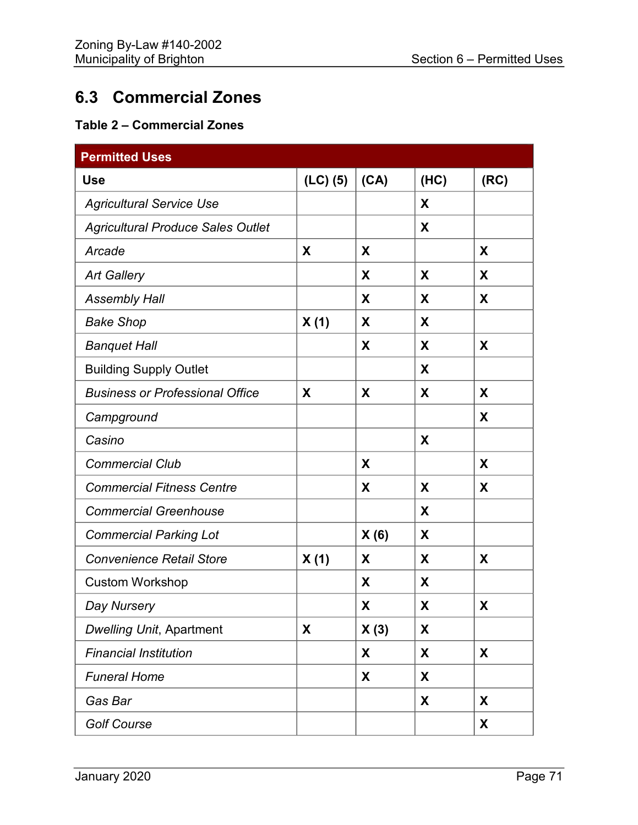## **6.3 Commercial Zones**

## **Table 2 – Commercial Zones**

| <b>Permitted Uses</b>                    |            |      |      |      |
|------------------------------------------|------------|------|------|------|
| <b>Use</b>                               | $(LC)$ (5) | (CA) | (HC) | (RC) |
| <b>Agricultural Service Use</b>          |            |      | X    |      |
| <b>Agricultural Produce Sales Outlet</b> |            |      | X    |      |
| Arcade                                   | X          | X    |      | X    |
| <b>Art Gallery</b>                       |            | X    | X    | X    |
| <b>Assembly Hall</b>                     |            | X    | X    | X    |
| <b>Bake Shop</b>                         | X(1)       | X    | X    |      |
| <b>Banquet Hall</b>                      |            | X    | X    | X    |
| <b>Building Supply Outlet</b>            |            |      | X    |      |
| <b>Business or Professional Office</b>   | X          | X    | X    | X    |
| Campground                               |            |      |      | X    |
| Casino                                   |            |      | X    |      |
| <b>Commercial Club</b>                   |            | X    |      | X    |
| <b>Commercial Fitness Centre</b>         |            | X    | X    | X    |
| <b>Commercial Greenhouse</b>             |            |      | X    |      |
| <b>Commercial Parking Lot</b>            |            | X(6) | X    |      |
| <b>Convenience Retail Store</b>          | X(1)       | X    | X    | X    |
| <b>Custom Workshop</b>                   |            | X    | X    |      |
| Day Nursery                              |            | X    | X    | X    |
| <b>Dwelling Unit, Apartment</b>          | X          | X(3) | X    |      |
| <b>Financial Institution</b>             |            | X    | X    | X    |
| <b>Funeral Home</b>                      |            | X    | X    |      |
| Gas Bar                                  |            |      | X    | X    |
| <b>Golf Course</b>                       |            |      |      | X    |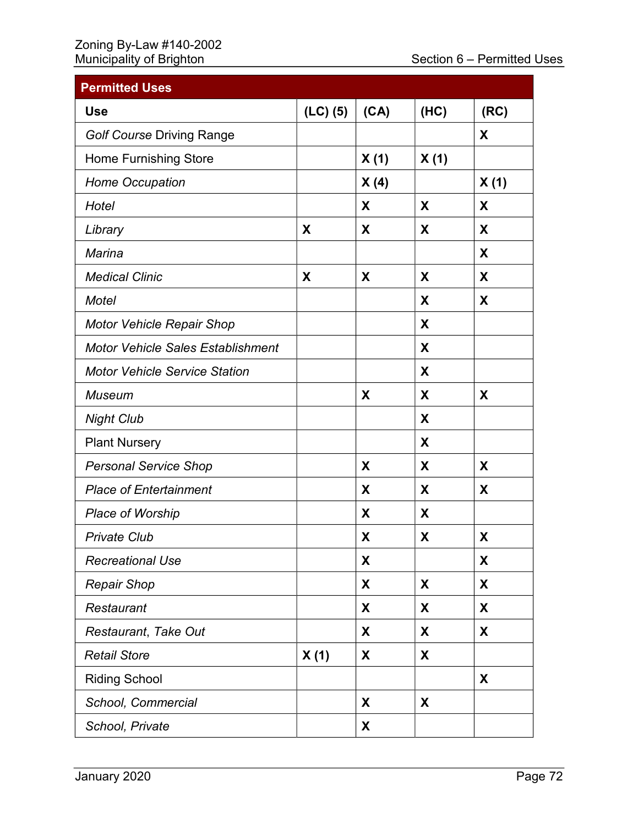## Zoning By-Law #140-2002

| <b>Permitted Uses</b>                    |              |      |      |      |
|------------------------------------------|--------------|------|------|------|
| <b>Use</b>                               | $(LC)$ $(5)$ | (CA) | (HC) | (RC) |
| <b>Golf Course Driving Range</b>         |              |      |      | X    |
| <b>Home Furnishing Store</b>             |              | X(1) | X(1) |      |
| <b>Home Occupation</b>                   |              | X(4) |      | X(1) |
| Hotel                                    |              | X    | X    | X    |
| Library                                  | X            | X    | X    | X    |
| <b>Marina</b>                            |              |      |      | X    |
| <b>Medical Clinic</b>                    | X            | X    | X    | X    |
| <b>Motel</b>                             |              |      | X    | X    |
| <b>Motor Vehicle Repair Shop</b>         |              |      | X    |      |
| <b>Motor Vehicle Sales Establishment</b> |              |      | X    |      |
| <b>Motor Vehicle Service Station</b>     |              |      | X    |      |
| <b>Museum</b>                            |              | X    | X    | X    |
| <b>Night Club</b>                        |              |      | X    |      |
| <b>Plant Nursery</b>                     |              |      | X    |      |
| <b>Personal Service Shop</b>             |              | X    | X    | X    |
| <b>Place of Entertainment</b>            |              | X    | X    | X    |
| <b>Place of Worship</b>                  |              | X    | X    |      |
| <b>Private Club</b>                      |              | X    | X    | X    |
| <b>Recreational Use</b>                  |              | X    |      | X    |
| <b>Repair Shop</b>                       |              | X    | X    | X    |
| Restaurant                               |              | X    | X    | X    |
| Restaurant, Take Out                     |              | X    | X    | X    |
| <b>Retail Store</b>                      | X(1)         | X    | X    |      |
| <b>Riding School</b>                     |              |      |      | X    |
| School, Commercial                       |              | X    | X    |      |
| School, Private                          |              | X    |      |      |